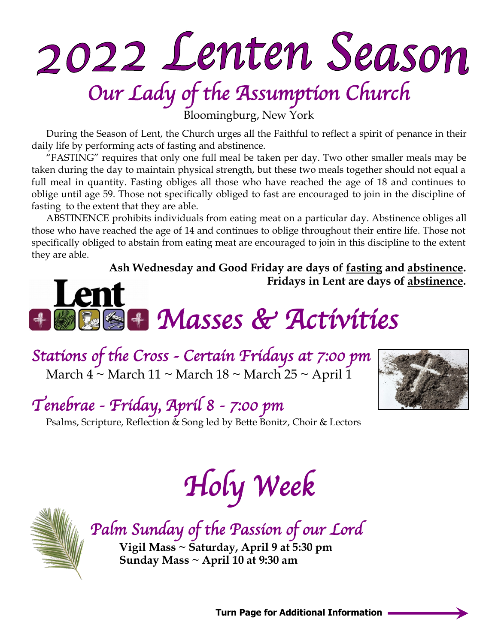# 2022 Lenten Season *Our Lady of the Assumption Church*

Bloomingburg, New York

During the Season of Lent, the Church urges all the Faithful to reflect a spirit of penance in their daily life by performing acts of fasting and abstinence.

"FASTING" requires that only one full meal be taken per day. Two other smaller meals may be taken during the day to maintain physical strength, but these two meals together should not equal a full meal in quantity. Fasting obliges all those who have reached the age of 18 and continues to oblige until age 59. Those not specifically obliged to fast are encouraged to join in the discipline of fasting to the extent that they are able.

ABSTINENCE prohibits individuals from eating meat on a particular day. Abstinence obliges all those who have reached the age of 14 and continues to oblige throughout their entire life. Those not specifically obliged to abstain from eating meat are encouraged to join in this discipline to the extent they are able.

**Ash Wednesday and Good Friday are days of fasting and abstinence. Fridays in Lent are days of abstinence.**

## **Len**  *Masses & Activities*

*Stations of the Cross - Certain Fridays at 7:00 pm*  March  $4 \sim$  March  $11 \sim$  March  $18 \sim$  March  $25 \sim$  April 1



*Tenebrae - Friday, April 8 - 7:00 pm* 

Psalms, Scripture, Reflection & Song led by Bette Bonitz, Choir & Lectors

*Holy Week* 



*Palm Sunday of the Passion of our Lord*  **Vigil Mass ~ Saturday, April 9 at 5:30 pm Sunday Mass ~ April 10 at 9:30 am**